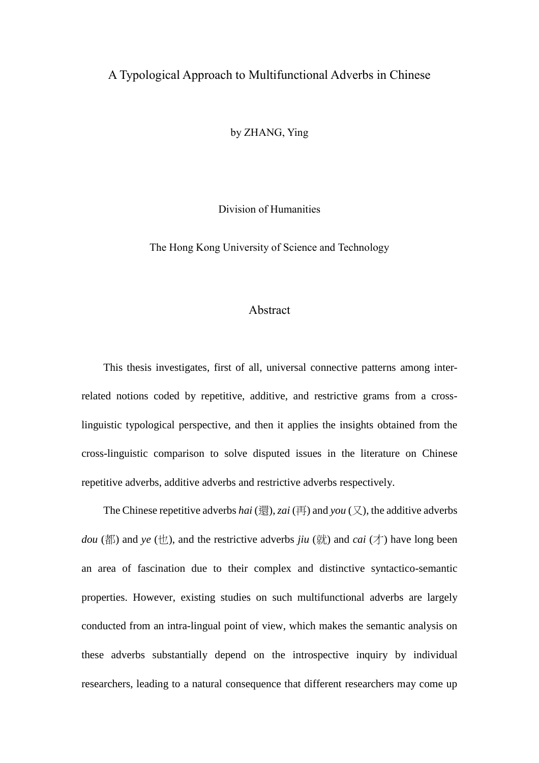## A Typological Approach to Multifunctional Adverbs in Chinese

by ZHANG, Ying

Division of Humanities

The Hong Kong University of Science and Technology

## Abstract

This thesis investigates, first of all, universal connective patterns among interrelated notions coded by repetitive, additive, and restrictive grams from a crosslinguistic typological perspective, and then it applies the insights obtained from the cross-linguistic comparison to solve disputed issues in the literature on Chinese repetitive adverbs, additive adverbs and restrictive adverbs respectively.

The Chinese repetitive adverbs *hai* (還), *zai* (再) and *you* (又), the additive adverbs *dou* (都) and *ye* (也), and the restrictive adverbs *jiu* (就) and *cai* (才) have long been an area of fascination due to their complex and distinctive syntactico-semantic properties. However, existing studies on such multifunctional adverbs are largely conducted from an intra-lingual point of view, which makes the semantic analysis on these adverbs substantially depend on the introspective inquiry by individual researchers, leading to a natural consequence that different researchers may come up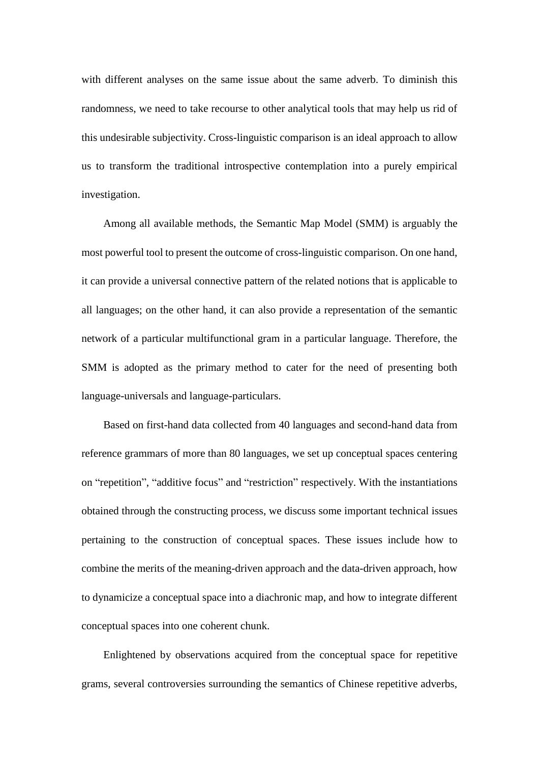with different analyses on the same issue about the same adverb. To diminish this randomness, we need to take recourse to other analytical tools that may help us rid of this undesirable subjectivity. Cross-linguistic comparison is an ideal approach to allow us to transform the traditional introspective contemplation into a purely empirical investigation.

Among all available methods, the Semantic Map Model (SMM) is arguably the most powerful tool to present the outcome of cross-linguistic comparison. On one hand, it can provide a universal connective pattern of the related notions that is applicable to all languages; on the other hand, it can also provide a representation of the semantic network of a particular multifunctional gram in a particular language. Therefore, the SMM is adopted as the primary method to cater for the need of presenting both language-universals and language-particulars.

Based on first-hand data collected from 40 languages and second-hand data from reference grammars of more than 80 languages, we set up conceptual spaces centering on "repetition", "additive focus" and "restriction" respectively. With the instantiations obtained through the constructing process, we discuss some important technical issues pertaining to the construction of conceptual spaces. These issues include how to combine the merits of the meaning-driven approach and the data-driven approach, how to dynamicize a conceptual space into a diachronic map, and how to integrate different conceptual spaces into one coherent chunk.

Enlightened by observations acquired from the conceptual space for repetitive grams, several controversies surrounding the semantics of Chinese repetitive adverbs,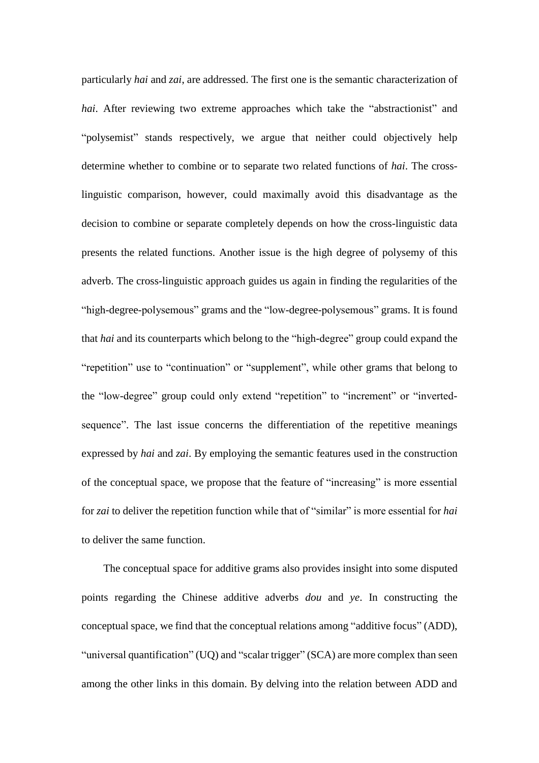particularly *hai* and *zai*, are addressed. The first one is the semantic characterization of *hai*. After reviewing two extreme approaches which take the "abstractionist" and "polysemist" stands respectively, we argue that neither could objectively help determine whether to combine or to separate two related functions of *hai*. The crosslinguistic comparison, however, could maximally avoid this disadvantage as the decision to combine or separate completely depends on how the cross-linguistic data presents the related functions. Another issue is the high degree of polysemy of this adverb. The cross-linguistic approach guides us again in finding the regularities of the "high-degree-polysemous" grams and the "low-degree-polysemous" grams. It is found that *hai* and its counterparts which belong to the "high-degree" group could expand the "repetition" use to "continuation" or "supplement", while other grams that belong to the "low-degree" group could only extend "repetition" to "increment" or "invertedsequence". The last issue concerns the differentiation of the repetitive meanings expressed by *hai* and *zai*. By employing the semantic features used in the construction of the conceptual space, we propose that the feature of "increasing" is more essential for *zai* to deliver the repetition function while that of "similar" is more essential for *hai* to deliver the same function.

The conceptual space for additive grams also provides insight into some disputed points regarding the Chinese additive adverbs *dou* and *ye*. In constructing the conceptual space, we find that the conceptual relations among "additive focus" (ADD), "universal quantification" (UQ) and "scalar trigger" (SCA) are more complex than seen among the other links in this domain. By delving into the relation between ADD and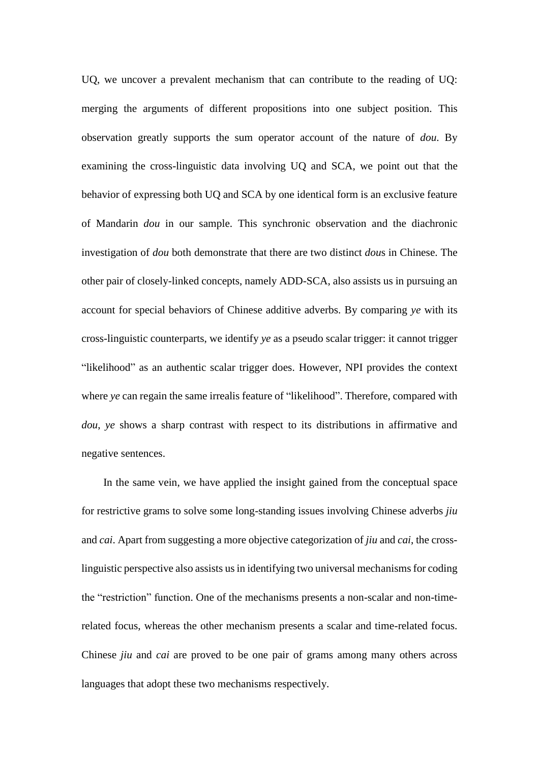UQ, we uncover a prevalent mechanism that can contribute to the reading of UQ: merging the arguments of different propositions into one subject position. This observation greatly supports the sum operator account of the nature of *dou*. By examining the cross-linguistic data involving UQ and SCA, we point out that the behavior of expressing both UQ and SCA by one identical form is an exclusive feature of Mandarin *dou* in our sample. This synchronic observation and the diachronic investigation of *dou* both demonstrate that there are two distinct *dou*s in Chinese. The other pair of closely-linked concepts, namely ADD-SCA, also assists us in pursuing an account for special behaviors of Chinese additive adverbs. By comparing *ye* with its cross-linguistic counterparts, we identify *ye* as a pseudo scalar trigger: it cannot trigger "likelihood" as an authentic scalar trigger does. However, NPI provides the context where *ye* can regain the same irrealis feature of "likelihood". Therefore, compared with *dou*, *ye* shows a sharp contrast with respect to its distributions in affirmative and negative sentences.

In the same vein, we have applied the insight gained from the conceptual space for restrictive grams to solve some long-standing issues involving Chinese adverbs *jiu* and *cai*. Apart from suggesting a more objective categorization of *jiu* and *cai*, the crosslinguistic perspective also assists us in identifying two universal mechanisms for coding the "restriction" function. One of the mechanisms presents a non-scalar and non-timerelated focus, whereas the other mechanism presents a scalar and time-related focus. Chinese *jiu* and *cai* are proved to be one pair of grams among many others across languages that adopt these two mechanisms respectively.